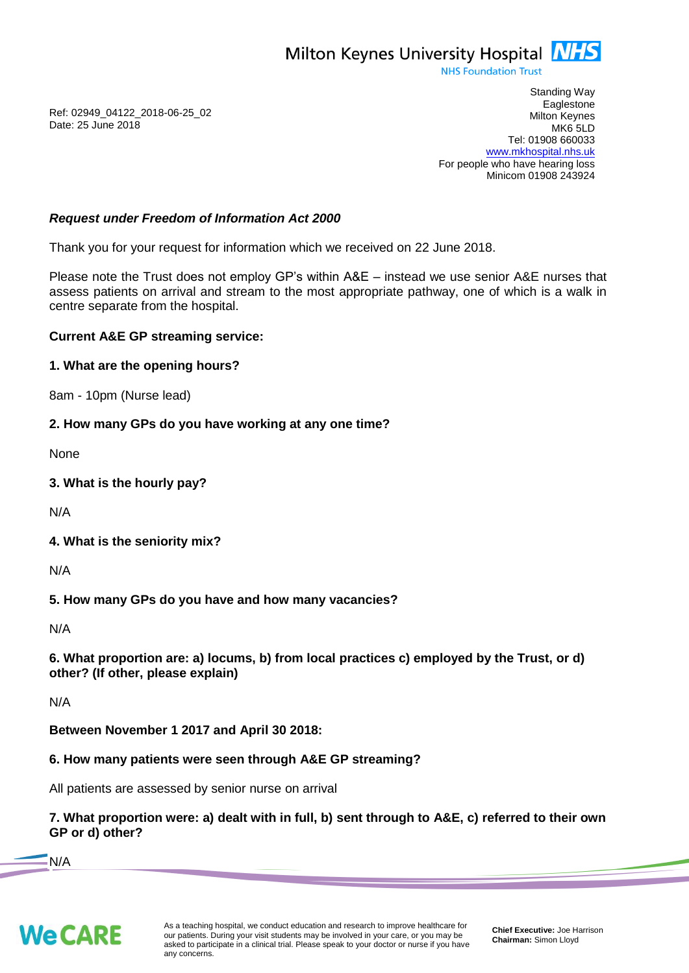

**NHS Foundation Trust** 

Ref: 02949\_04122\_2018-06-25\_02 Date: 25 June 2018

Standing Way **Eaglestone** Milton Keynes MK6 5LD Tel: 01908 660033 [www.mkhospital.nhs.uk](http://www.mkhospital.nhs.uk/) For people who have hearing loss Minicom 01908 243924

## *Request under Freedom of Information Act 2000*

Thank you for your request for information which we received on 22 June 2018.

Please note the Trust does not employ GP's within A&E – instead we use senior A&E nurses that assess patients on arrival and stream to the most appropriate pathway, one of which is a walk in centre separate from the hospital.

## **Current A&E GP streaming service:**

#### **1. What are the opening hours?**

8am - 10pm (Nurse lead)

#### **2. How many GPs do you have working at any one time?**

None

**3. What is the hourly pay?**

N/A

**4. What is the seniority mix?**

N/A

**5. How many GPs do you have and how many vacancies?**

N/A

**6. What proportion are: a) locums, b) from local practices c) employed by the Trust, or d) other? (If other, please explain)**

N/A

**Between November 1 2017 and April 30 2018:**

## **6. How many patients were seen through A&E GP streaming?**

All patients are assessed by senior nurse on arrival

**7. What proportion were: a) dealt with in full, b) sent through to A&E, c) referred to their own GP or d) other?**

N/A